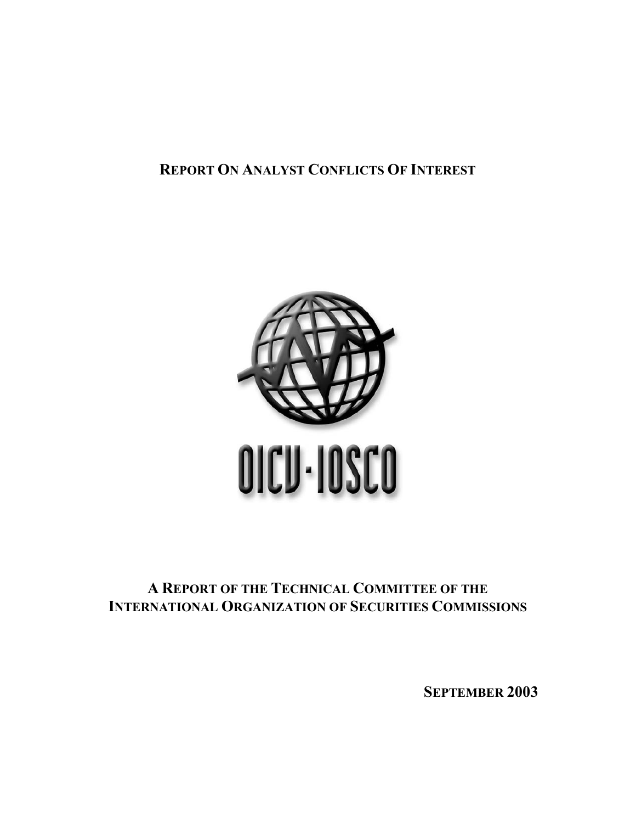# **REPORT ON ANALYST CONFLICTS OF INTEREST**



## **A REPORT OF THE TECHNICAL COMMITTEE OF THE INTERNATIONAL ORGANIZATION OF SECURITIES COMMISSIONS**

**SEPTEMBER 2003**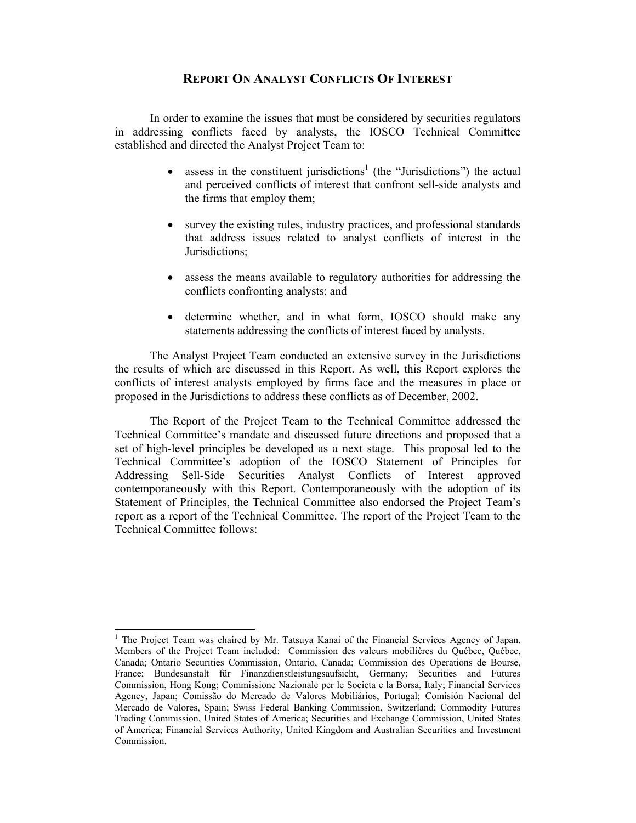## **REPORT ON ANALYST CONFLICTS OF INTEREST**

In order to examine the issues that must be considered by securities regulators in addressing conflicts faced by analysts, the IOSCO Technical Committee established and directed the Analyst Project Team to:

- assess in the constituent jurisdictions<sup>1</sup> (the "Jurisdictions") the actual and perceived conflicts of interest that confront sell-side analysts and the firms that employ them;
- survey the existing rules, industry practices, and professional standards that address issues related to analyst conflicts of interest in the Jurisdictions;
- assess the means available to regulatory authorities for addressing the conflicts confronting analysts; and
- determine whether, and in what form, IOSCO should make any statements addressing the conflicts of interest faced by analysts.

The Analyst Project Team conducted an extensive survey in the Jurisdictions the results of which are discussed in this Report. As well, this Report explores the conflicts of interest analysts employed by firms face and the measures in place or proposed in the Jurisdictions to address these conflicts as of December, 2002.

The Report of the Project Team to the Technical Committee addressed the Technical Committee's mandate and discussed future directions and proposed that a set of high-level principles be developed as a next stage. This proposal led to the Technical Committee's adoption of the IOSCO Statement of Principles for Addressing Sell-Side Securities Analyst Conflicts of Interest approved contemporaneously with this Report. Contemporaneously with the adoption of its Statement of Principles, the Technical Committee also endorsed the Project Team's report as a report of the Technical Committee. The report of the Project Team to the Technical Committee follows:

 $\overline{a}$ 

<sup>&</sup>lt;sup>1</sup> The Project Team was chaired by Mr. Tatsuya Kanai of the Financial Services Agency of Japan. Members of the Project Team included: Commission des valeurs mobilières du Québec, Québec, Canada; Ontario Securities Commission, Ontario, Canada; Commission des Operations de Bourse, France; Bundesanstalt für Finanzdienstleistungsaufsicht, Germany; Securities and Futures Commission, Hong Kong; Commissione Nazionale per le Societa e la Borsa, Italy; Financial Services Agency, Japan; Comissão do Mercado de Valores Mobiliários, Portugal; Comisión Nacional del Mercado de Valores, Spain; Swiss Federal Banking Commission, Switzerland; Commodity Futures Trading Commission, United States of America; Securities and Exchange Commission, United States of America; Financial Services Authority, United Kingdom and Australian Securities and Investment Commission.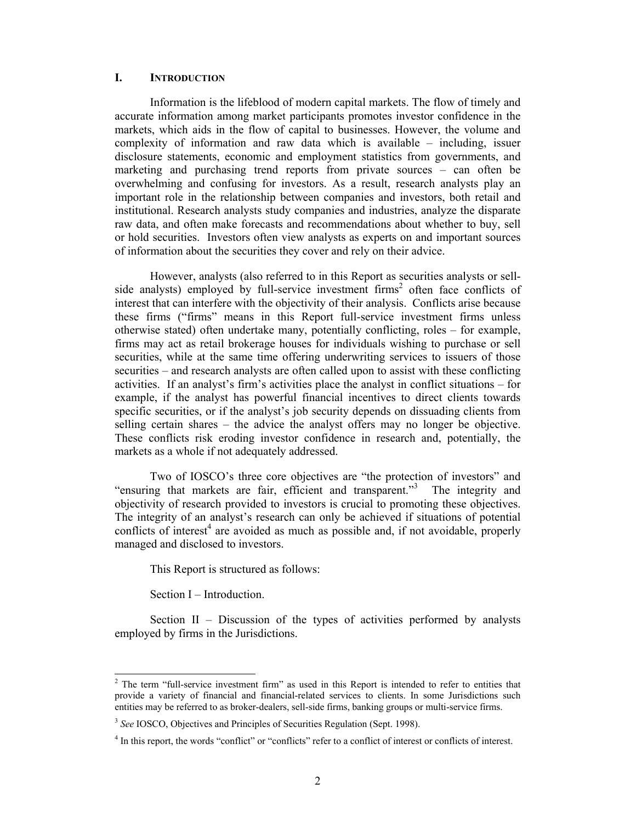#### **I. INTRODUCTION**

Information is the lifeblood of modern capital markets. The flow of timely and accurate information among market participants promotes investor confidence in the markets, which aids in the flow of capital to businesses. However, the volume and complexity of information and raw data which is available – including, issuer disclosure statements, economic and employment statistics from governments, and marketing and purchasing trend reports from private sources – can often be overwhelming and confusing for investors. As a result, research analysts play an important role in the relationship between companies and investors, both retail and institutional. Research analysts study companies and industries, analyze the disparate raw data, and often make forecasts and recommendations about whether to buy, sell or hold securities. Investors often view analysts as experts on and important sources of information about the securities they cover and rely on their advice.

However, analysts (also referred to in this Report as securities analysts or sellside analysts) employed by full-service investment firms<sup>2</sup> often face conflicts of interest that can interfere with the objectivity of their analysis. Conflicts arise because these firms ("firms" means in this Report full-service investment firms unless otherwise stated) often undertake many, potentially conflicting, roles – for example, firms may act as retail brokerage houses for individuals wishing to purchase or sell securities, while at the same time offering underwriting services to issuers of those securities – and research analysts are often called upon to assist with these conflicting activities. If an analyst's firm's activities place the analyst in conflict situations – for example, if the analyst has powerful financial incentives to direct clients towards specific securities, or if the analyst's job security depends on dissuading clients from selling certain shares – the advice the analyst offers may no longer be objective. These conflicts risk eroding investor confidence in research and, potentially, the markets as a whole if not adequately addressed.

Two of IOSCO's three core objectives are "the protection of investors" and "ensuring that markets are fair, efficient and transparent."<sup>3</sup> The integrity and objectivity of research provided to investors is crucial to promoting these objectives. The integrity of an analyst's research can only be achieved if situations of potential conflicts of interest<sup>4</sup> are avoided as much as possible and, if not avoidable, properly managed and disclosed to investors.

This Report is structured as follows:

Section I – Introduction.

Section II – Discussion of the types of activities performed by analysts employed by firms in the Jurisdictions.

<sup>&</sup>lt;sup>2</sup> The term "full-service investment firm" as used in this Report is intended to refer to entities that provide a variety of financial and financial-related services to clients. In some Jurisdictions such entities may be referred to as broker-dealers, sell-side firms, banking groups or multi-service firms.

<sup>&</sup>lt;sup>3</sup> See IOSCO, Objectives and Principles of Securities Regulation (Sept. 1998).

<sup>&</sup>lt;sup>4</sup> In this report, the words "conflict" or "conflicts" refer to a conflict of interest or conflicts of interest.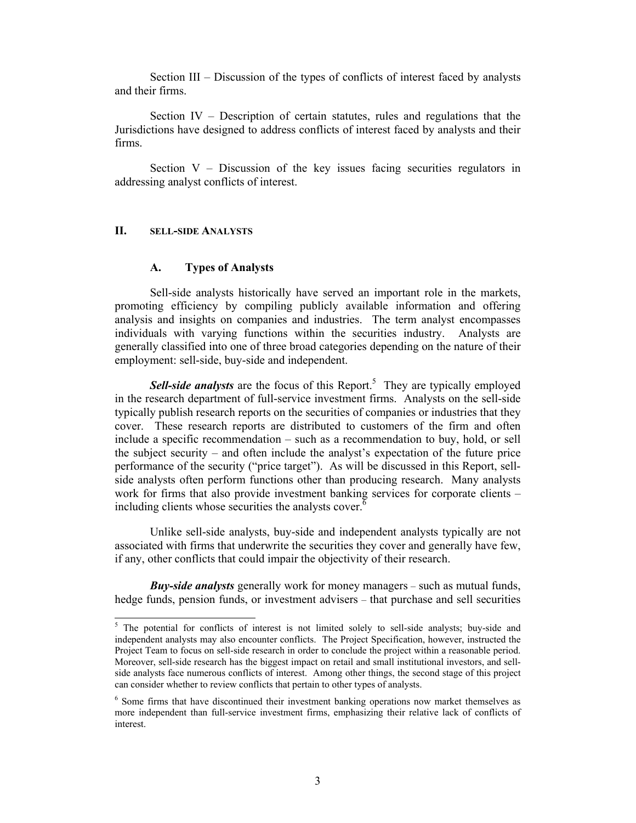Section III – Discussion of the types of conflicts of interest faced by analysts and their firms.

Section IV – Description of certain statutes, rules and regulations that the Jurisdictions have designed to address conflicts of interest faced by analysts and their firms.

Section  $V -$  Discussion of the key issues facing securities regulators in addressing analyst conflicts of interest.

#### **II. SELL-SIDE ANALYSTS**

 $\overline{a}$ 

#### **A. Types of Analysts**

Sell-side analysts historically have served an important role in the markets, promoting efficiency by compiling publicly available information and offering analysis and insights on companies and industries. The term analyst encompasses individuals with varying functions within the securities industry. Analysts are generally classified into one of three broad categories depending on the nature of their employment: sell-side, buy-side and independent.

Sell-side analysts are the focus of this Report.<sup>5</sup> They are typically employed in the research department of full-service investment firms. Analysts on the sell-side typically publish research reports on the securities of companies or industries that they cover. These research reports are distributed to customers of the firm and often include a specific recommendation – such as a recommendation to buy, hold, or sell the subject security – and often include the analyst's expectation of the future price performance of the security ("price target"). As will be discussed in this Report, sellside analysts often perform functions other than producing research. Many analysts work for firms that also provide investment banking services for corporate clients – including clients whose securities the analysts cover. $\delta$ 

Unlike sell-side analysts, buy-side and independent analysts typically are not associated with firms that underwrite the securities they cover and generally have few, if any, other conflicts that could impair the objectivity of their research.

*Buy-side analysts* generally work for money managers – such as mutual funds, hedge funds, pension funds, or investment advisers – that purchase and sell securities

<sup>&</sup>lt;sup>5</sup> The potential for conflicts of interest is not limited solely to sell-side analysts; buy-side and independent analysts may also encounter conflicts. The Project Specification, however, instructed the Project Team to focus on sell-side research in order to conclude the project within a reasonable period. Moreover, sell-side research has the biggest impact on retail and small institutional investors, and sellside analysts face numerous conflicts of interest. Among other things, the second stage of this project can consider whether to review conflicts that pertain to other types of analysts.

<sup>&</sup>lt;sup>6</sup> Some firms that have discontinued their investment banking operations now market themselves as more independent than full-service investment firms, emphasizing their relative lack of conflicts of interest.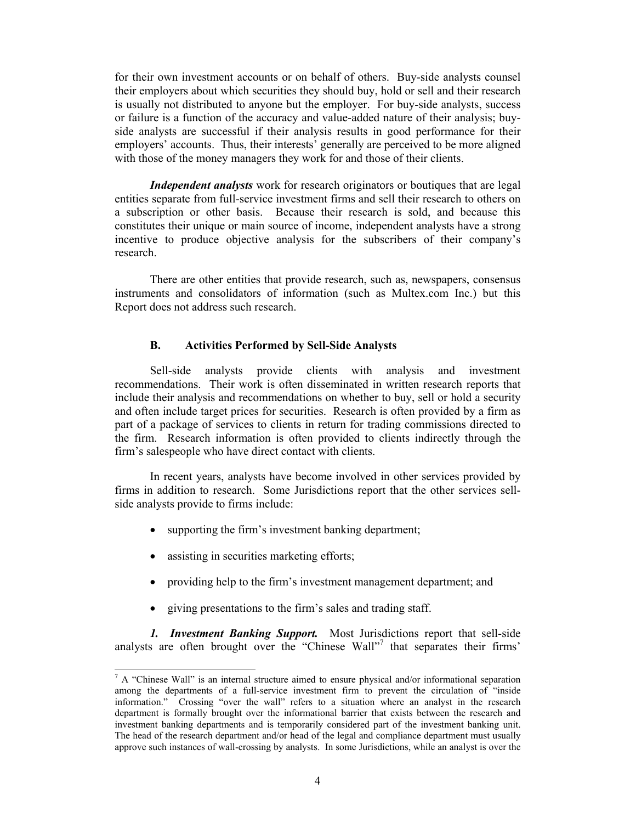for their own investment accounts or on behalf of others. Buy-side analysts counsel their employers about which securities they should buy, hold or sell and their research is usually not distributed to anyone but the employer. For buy-side analysts, success or failure is a function of the accuracy and value-added nature of their analysis; buyside analysts are successful if their analysis results in good performance for their employers' accounts. Thus, their interests' generally are perceived to be more aligned with those of the money managers they work for and those of their clients.

*Independent analysts* work for research originators or boutiques that are legal entities separate from full-service investment firms and sell their research to others on a subscription or other basis. Because their research is sold, and because this constitutes their unique or main source of income, independent analysts have a strong incentive to produce objective analysis for the subscribers of their company's research.

There are other entities that provide research, such as, newspapers, consensus instruments and consolidators of information (such as Multex.com Inc.) but this Report does not address such research.

#### **B. Activities Performed by Sell-Side Analysts**

Sell-side analysts provide clients with analysis and investment recommendations. Their work is often disseminated in written research reports that include their analysis and recommendations on whether to buy, sell or hold a security and often include target prices for securities. Research is often provided by a firm as part of a package of services to clients in return for trading commissions directed to the firm. Research information is often provided to clients indirectly through the firm's salespeople who have direct contact with clients.

In recent years, analysts have become involved in other services provided by firms in addition to research. Some Jurisdictions report that the other services sellside analysts provide to firms include:

- supporting the firm's investment banking department;
- assisting in securities marketing efforts;

1

- providing help to the firm's investment management department; and
- giving presentations to the firm's sales and trading staff.

*1. Investment Banking Support.* Most Jurisdictions report that sell-side analysts are often brought over the "Chinese Wall"<sup>7</sup> that separates their firms'

 $<sup>7</sup>$  A "Chinese Wall" is an internal structure aimed to ensure physical and/or informational separation</sup> among the departments of a full-service investment firm to prevent the circulation of "inside information." Crossing "over the wall" refers to a situation where an analyst in the research department is formally brought over the informational barrier that exists between the research and investment banking departments and is temporarily considered part of the investment banking unit. The head of the research department and/or head of the legal and compliance department must usually approve such instances of wall-crossing by analysts. In some Jurisdictions, while an analyst is over the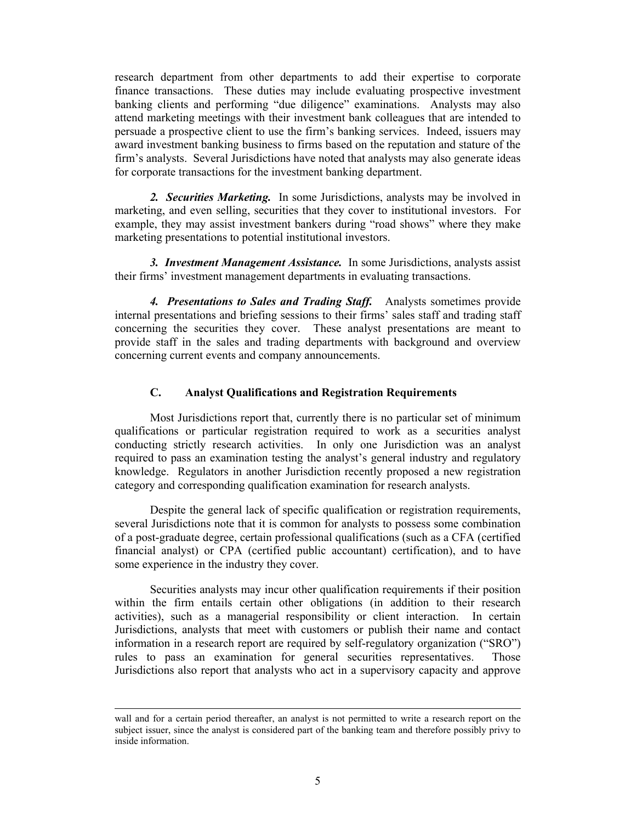research department from other departments to add their expertise to corporate finance transactions. These duties may include evaluating prospective investment banking clients and performing "due diligence" examinations. Analysts may also attend marketing meetings with their investment bank colleagues that are intended to persuade a prospective client to use the firm's banking services. Indeed, issuers may award investment banking business to firms based on the reputation and stature of the firm's analysts. Several Jurisdictions have noted that analysts may also generate ideas for corporate transactions for the investment banking department.

*2. Securities Marketing.* In some Jurisdictions, analysts may be involved in marketing, and even selling, securities that they cover to institutional investors. For example, they may assist investment bankers during "road shows" where they make marketing presentations to potential institutional investors.

*3. Investment Management Assistance.* In some Jurisdictions, analysts assist their firms' investment management departments in evaluating transactions.

*4. Presentations to Sales and Trading Staff.* Analysts sometimes provide internal presentations and briefing sessions to their firms' sales staff and trading staff concerning the securities they cover. These analyst presentations are meant to provide staff in the sales and trading departments with background and overview concerning current events and company announcements.

#### **C. Analyst Qualifications and Registration Requirements**

Most Jurisdictions report that, currently there is no particular set of minimum qualifications or particular registration required to work as a securities analyst conducting strictly research activities. In only one Jurisdiction was an analyst required to pass an examination testing the analyst's general industry and regulatory knowledge. Regulators in another Jurisdiction recently proposed a new registration category and corresponding qualification examination for research analysts.

Despite the general lack of specific qualification or registration requirements, several Jurisdictions note that it is common for analysts to possess some combination of a post-graduate degree, certain professional qualifications (such as a CFA (certified financial analyst) or CPA (certified public accountant) certification), and to have some experience in the industry they cover.

Securities analysts may incur other qualification requirements if their position within the firm entails certain other obligations (in addition to their research activities), such as a managerial responsibility or client interaction. In certain Jurisdictions, analysts that meet with customers or publish their name and contact information in a research report are required by self-regulatory organization ("SRO") rules to pass an examination for general securities representatives. Those Jurisdictions also report that analysts who act in a supervisory capacity and approve

 $\overline{a}$ 

wall and for a certain period thereafter, an analyst is not permitted to write a research report on the subject issuer, since the analyst is considered part of the banking team and therefore possibly privy to inside information.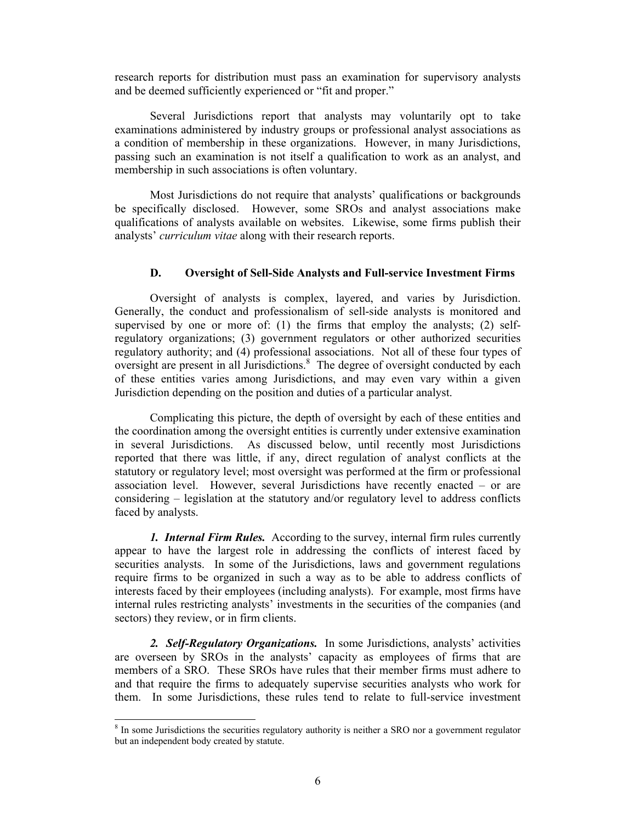research reports for distribution must pass an examination for supervisory analysts and be deemed sufficiently experienced or "fit and proper."

Several Jurisdictions report that analysts may voluntarily opt to take examinations administered by industry groups or professional analyst associations as a condition of membership in these organizations. However, in many Jurisdictions, passing such an examination is not itself a qualification to work as an analyst, and membership in such associations is often voluntary.

Most Jurisdictions do not require that analysts' qualifications or backgrounds be specifically disclosed. However, some SROs and analyst associations make qualifications of analysts available on websites. Likewise, some firms publish their analysts' *curriculum vitae* along with their research reports.

#### **D. Oversight of Sell-Side Analysts and Full-service Investment Firms**

Oversight of analysts is complex, layered, and varies by Jurisdiction. Generally, the conduct and professionalism of sell-side analysts is monitored and supervised by one or more of: (1) the firms that employ the analysts; (2) selfregulatory organizations; (3) government regulators or other authorized securities regulatory authority; and (4) professional associations. Not all of these four types of oversight are present in all Jurisdictions.<sup>8</sup> The degree of oversight conducted by each of these entities varies among Jurisdictions, and may even vary within a given Jurisdiction depending on the position and duties of a particular analyst.

Complicating this picture, the depth of oversight by each of these entities and the coordination among the oversight entities is currently under extensive examination in several Jurisdictions. As discussed below, until recently most Jurisdictions reported that there was little, if any, direct regulation of analyst conflicts at the statutory or regulatory level; most oversight was performed at the firm or professional association level. However, several Jurisdictions have recently enacted – or are considering – legislation at the statutory and/or regulatory level to address conflicts faced by analysts.

*1. Internal Firm Rules.* According to the survey, internal firm rules currently appear to have the largest role in addressing the conflicts of interest faced by securities analysts. In some of the Jurisdictions, laws and government regulations require firms to be organized in such a way as to be able to address conflicts of interests faced by their employees (including analysts). For example, most firms have internal rules restricting analysts' investments in the securities of the companies (and sectors) they review, or in firm clients.

*2. Self-Regulatory Organizations.* In some Jurisdictions, analysts' activities are overseen by SROs in the analysts' capacity as employees of firms that are members of a SRO. These SROs have rules that their member firms must adhere to and that require the firms to adequately supervise securities analysts who work for them. In some Jurisdictions, these rules tend to relate to full-service investment

<sup>&</sup>lt;sup>8</sup> In some Jurisdictions the securities regulatory authority is neither a SRO nor a government regulator but an independent body created by statute.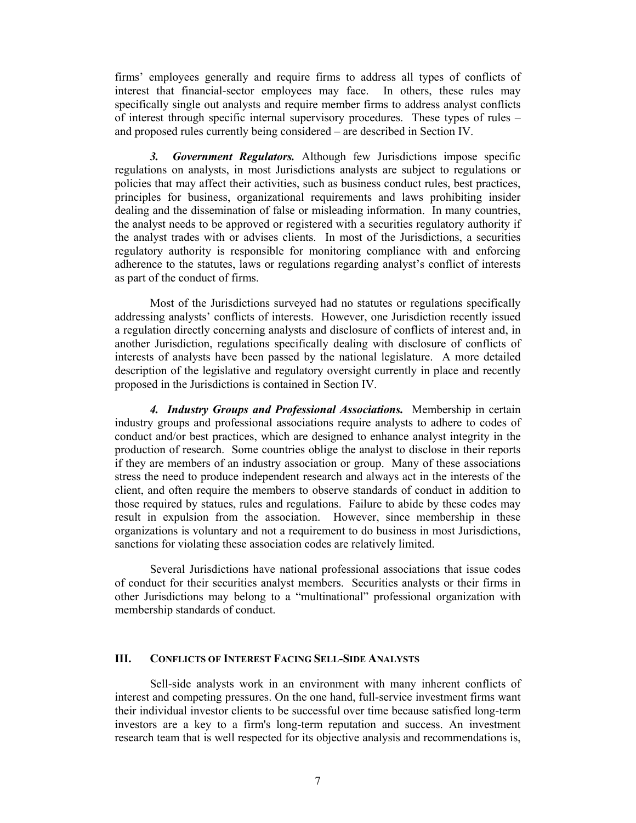firms' employees generally and require firms to address all types of conflicts of interest that financial-sector employees may face. In others, these rules may specifically single out analysts and require member firms to address analyst conflicts of interest through specific internal supervisory procedures. These types of rules – and proposed rules currently being considered – are described in Section IV.

*3. Government Regulators.* Although few Jurisdictions impose specific regulations on analysts, in most Jurisdictions analysts are subject to regulations or policies that may affect their activities, such as business conduct rules, best practices, principles for business, organizational requirements and laws prohibiting insider dealing and the dissemination of false or misleading information. In many countries, the analyst needs to be approved or registered with a securities regulatory authority if the analyst trades with or advises clients. In most of the Jurisdictions, a securities regulatory authority is responsible for monitoring compliance with and enforcing adherence to the statutes, laws or regulations regarding analyst's conflict of interests as part of the conduct of firms.

Most of the Jurisdictions surveyed had no statutes or regulations specifically addressing analysts' conflicts of interests. However, one Jurisdiction recently issued a regulation directly concerning analysts and disclosure of conflicts of interest and, in another Jurisdiction, regulations specifically dealing with disclosure of conflicts of interests of analysts have been passed by the national legislature. A more detailed description of the legislative and regulatory oversight currently in place and recently proposed in the Jurisdictions is contained in Section IV.

*4. Industry Groups and Professional Associations.* Membership in certain industry groups and professional associations require analysts to adhere to codes of conduct and/or best practices, which are designed to enhance analyst integrity in the production of research. Some countries oblige the analyst to disclose in their reports if they are members of an industry association or group. Many of these associations stress the need to produce independent research and always act in the interests of the client, and often require the members to observe standards of conduct in addition to those required by statues, rules and regulations. Failure to abide by these codes may result in expulsion from the association. However, since membership in these organizations is voluntary and not a requirement to do business in most Jurisdictions, sanctions for violating these association codes are relatively limited.

Several Jurisdictions have national professional associations that issue codes of conduct for their securities analyst members. Securities analysts or their firms in other Jurisdictions may belong to a "multinational" professional organization with membership standards of conduct.

#### **III. CONFLICTS OF INTEREST FACING SELL-SIDE ANALYSTS**

Sell-side analysts work in an environment with many inherent conflicts of interest and competing pressures. On the one hand, full-service investment firms want their individual investor clients to be successful over time because satisfied long-term investors are a key to a firm's long-term reputation and success. An investment research team that is well respected for its objective analysis and recommendations is,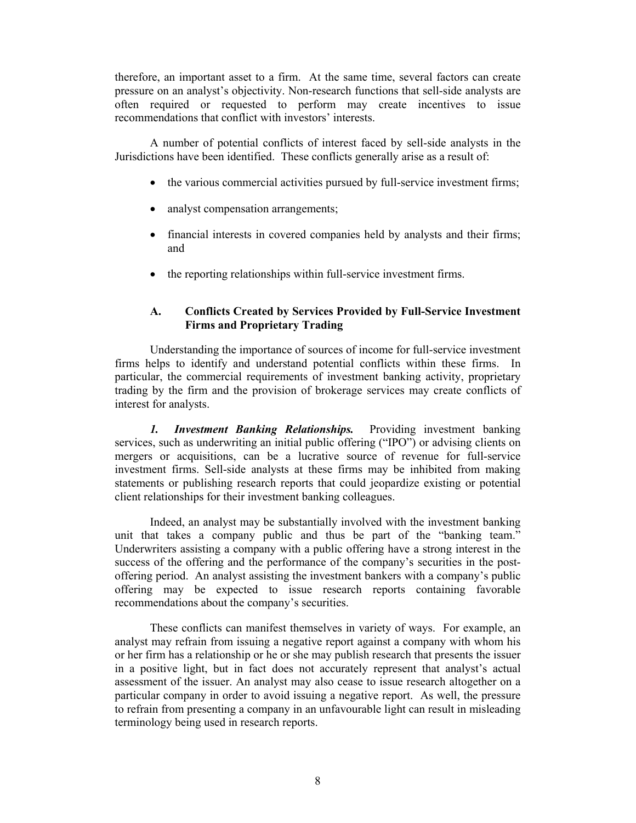therefore, an important asset to a firm. At the same time, several factors can create pressure on an analyst's objectivity. Non-research functions that sell-side analysts are often required or requested to perform may create incentives to issue recommendations that conflict with investors' interests.

A number of potential conflicts of interest faced by sell-side analysts in the Jurisdictions have been identified. These conflicts generally arise as a result of:

- the various commercial activities pursued by full-service investment firms;
- analyst compensation arrangements;
- financial interests in covered companies held by analysts and their firms; and
- the reporting relationships within full-service investment firms.

## **A. Conflicts Created by Services Provided by Full-Service Investment Firms and Proprietary Trading**

Understanding the importance of sources of income for full-service investment firms helps to identify and understand potential conflicts within these firms. In particular, the commercial requirements of investment banking activity, proprietary trading by the firm and the provision of brokerage services may create conflicts of interest for analysts.

*1. Investment Banking Relationships.* Providing investment banking services, such as underwriting an initial public offering ("IPO") or advising clients on mergers or acquisitions, can be a lucrative source of revenue for full-service investment firms. Sell-side analysts at these firms may be inhibited from making statements or publishing research reports that could jeopardize existing or potential client relationships for their investment banking colleagues.

Indeed, an analyst may be substantially involved with the investment banking unit that takes a company public and thus be part of the "banking team." Underwriters assisting a company with a public offering have a strong interest in the success of the offering and the performance of the company's securities in the postoffering period. An analyst assisting the investment bankers with a company's public offering may be expected to issue research reports containing favorable recommendations about the company's securities.

These conflicts can manifest themselves in variety of ways. For example, an analyst may refrain from issuing a negative report against a company with whom his or her firm has a relationship or he or she may publish research that presents the issuer in a positive light, but in fact does not accurately represent that analyst's actual assessment of the issuer. An analyst may also cease to issue research altogether on a particular company in order to avoid issuing a negative report. As well, the pressure to refrain from presenting a company in an unfavourable light can result in misleading terminology being used in research reports.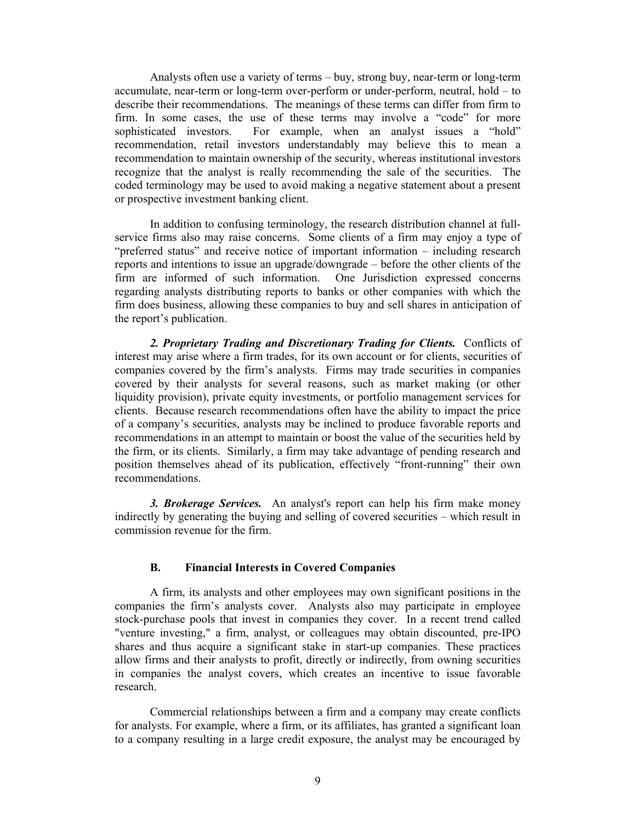Analysts often use a variety of terms – buy, strong buy, near-term or long-term accumulate, near-term or long-term over-perform or under-perform, neutral, hold – to describe their recommendations. The meanings of these terms can differ from firm to firm. In some cases, the use of these terms may involve a "code" for more sophisticated investors. For example, when an analyst issues a "hold" recommendation, retail investors understandably may believe this to mean a recommendation to maintain ownership of the security, whereas institutional investors recognize that the analyst is really recommending the sale of the securities. The coded terminology may be used to avoid making a negative statement about a present or prospective investment banking client.

In addition to confusing terminology, the research distribution channel at fullservice firms also may raise concerns. Some clients of a firm may enjoy a type of "preferred status" and receive notice of important information – including research reports and intentions to issue an upgrade/downgrade – before the other clients of the firm are informed of such information. One Jurisdiction expressed concerns regarding analysts distributing reports to banks or other companies with which the firm does business, allowing these companies to buy and sell shares in anticipation of the report's publication.

*2. Proprietary Trading and Discretionary Trading for Clients.* Conflicts of interest may arise where a firm trades, for its own account or for clients, securities of companies covered by the firm's analysts. Firms may trade securities in companies covered by their analysts for several reasons, such as market making (or other liquidity provision), private equity investments, or portfolio management services for clients. Because research recommendations often have the ability to impact the price of a company's securities, analysts may be inclined to produce favorable reports and recommendations in an attempt to maintain or boost the value of the securities held by the firm, or its clients. Similarly, a firm may take advantage of pending research and position themselves ahead of its publication, effectively "front-running" their own recommendations.

*3. Brokerage Services.* An analyst's report can help his firm make money indirectly by generating the buying and selling of covered securities – which result in commission revenue for the firm.

#### **B. Financial Interests in Covered Companies**

A firm, its analysts and other employees may own significant positions in the companies the firm's analysts cover. Analysts also may participate in employee stock-purchase pools that invest in companies they cover. In a recent trend called "venture investing," a firm, analyst, or colleagues may obtain discounted, pre-IPO shares and thus acquire a significant stake in start-up companies. These practices allow firms and their analysts to profit, directly or indirectly, from owning securities in companies the analyst covers, which creates an incentive to issue favorable research.

Commercial relationships between a firm and a company may create conflicts for analysts. For example, where a firm, or its affiliates, has granted a significant loan to a company resulting in a large credit exposure, the analyst may be encouraged by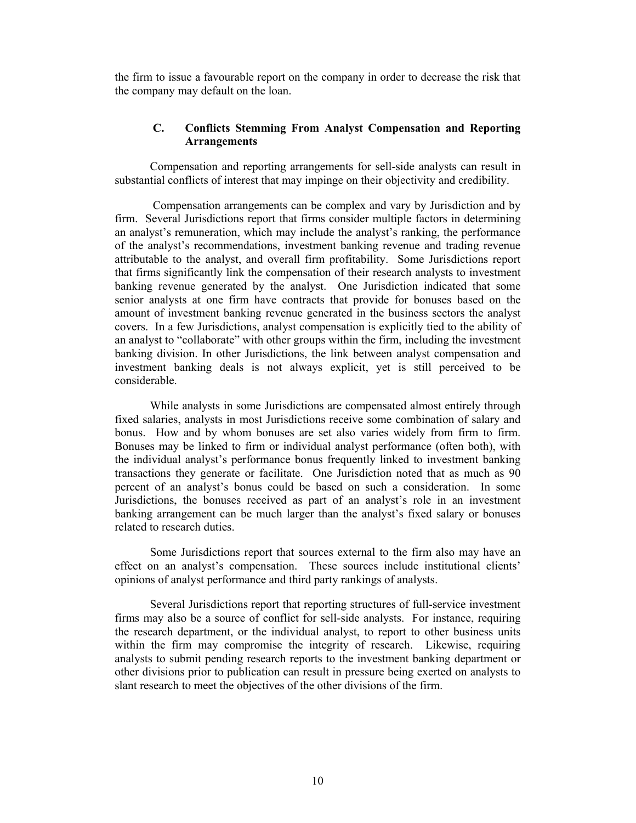the firm to issue a favourable report on the company in order to decrease the risk that the company may default on the loan.

#### **C. Conflicts Stemming From Analyst Compensation and Reporting Arrangements**

Compensation and reporting arrangements for sell-side analysts can result in substantial conflicts of interest that may impinge on their objectivity and credibility.

 Compensation arrangements can be complex and vary by Jurisdiction and by firm. Several Jurisdictions report that firms consider multiple factors in determining an analyst's remuneration, which may include the analyst's ranking, the performance of the analyst's recommendations, investment banking revenue and trading revenue attributable to the analyst, and overall firm profitability. Some Jurisdictions report that firms significantly link the compensation of their research analysts to investment banking revenue generated by the analyst. One Jurisdiction indicated that some senior analysts at one firm have contracts that provide for bonuses based on the amount of investment banking revenue generated in the business sectors the analyst covers. In a few Jurisdictions, analyst compensation is explicitly tied to the ability of an analyst to "collaborate" with other groups within the firm, including the investment banking division. In other Jurisdictions, the link between analyst compensation and investment banking deals is not always explicit, yet is still perceived to be considerable.

While analysts in some Jurisdictions are compensated almost entirely through fixed salaries, analysts in most Jurisdictions receive some combination of salary and bonus. How and by whom bonuses are set also varies widely from firm to firm. Bonuses may be linked to firm or individual analyst performance (often both), with the individual analyst's performance bonus frequently linked to investment banking transactions they generate or facilitate. One Jurisdiction noted that as much as 90 percent of an analyst's bonus could be based on such a consideration. In some Jurisdictions, the bonuses received as part of an analyst's role in an investment banking arrangement can be much larger than the analyst's fixed salary or bonuses related to research duties.

Some Jurisdictions report that sources external to the firm also may have an effect on an analyst's compensation. These sources include institutional clients' opinions of analyst performance and third party rankings of analysts.

Several Jurisdictions report that reporting structures of full-service investment firms may also be a source of conflict for sell-side analysts. For instance, requiring the research department, or the individual analyst, to report to other business units within the firm may compromise the integrity of research. Likewise, requiring analysts to submit pending research reports to the investment banking department or other divisions prior to publication can result in pressure being exerted on analysts to slant research to meet the objectives of the other divisions of the firm.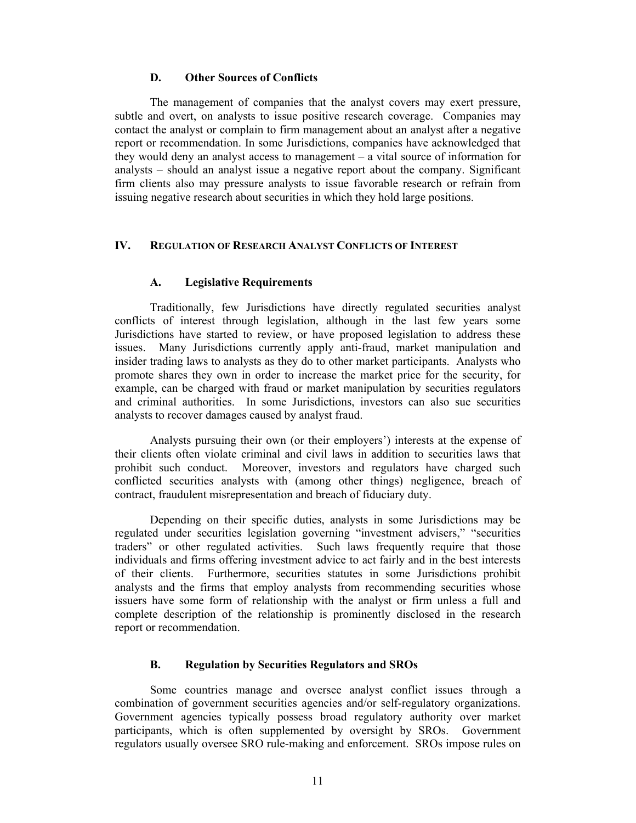#### **D. Other Sources of Conflicts**

The management of companies that the analyst covers may exert pressure, subtle and overt, on analysts to issue positive research coverage. Companies may contact the analyst or complain to firm management about an analyst after a negative report or recommendation. In some Jurisdictions, companies have acknowledged that they would deny an analyst access to management – a vital source of information for analysts – should an analyst issue a negative report about the company. Significant firm clients also may pressure analysts to issue favorable research or refrain from issuing negative research about securities in which they hold large positions.

#### **IV. REGULATION OF RESEARCH ANALYST CONFLICTS OF INTEREST**

#### **A. Legislative Requirements**

Traditionally, few Jurisdictions have directly regulated securities analyst conflicts of interest through legislation, although in the last few years some Jurisdictions have started to review, or have proposed legislation to address these issues. Many Jurisdictions currently apply anti-fraud, market manipulation and insider trading laws to analysts as they do to other market participants. Analysts who promote shares they own in order to increase the market price for the security, for example, can be charged with fraud or market manipulation by securities regulators and criminal authorities. In some Jurisdictions, investors can also sue securities analysts to recover damages caused by analyst fraud.

Analysts pursuing their own (or their employers') interests at the expense of their clients often violate criminal and civil laws in addition to securities laws that prohibit such conduct. Moreover, investors and regulators have charged such conflicted securities analysts with (among other things) negligence, breach of contract, fraudulent misrepresentation and breach of fiduciary duty.

Depending on their specific duties, analysts in some Jurisdictions may be regulated under securities legislation governing "investment advisers," "securities traders" or other regulated activities. Such laws frequently require that those individuals and firms offering investment advice to act fairly and in the best interests of their clients. Furthermore, securities statutes in some Jurisdictions prohibit analysts and the firms that employ analysts from recommending securities whose issuers have some form of relationship with the analyst or firm unless a full and complete description of the relationship is prominently disclosed in the research report or recommendation.

#### **B. Regulation by Securities Regulators and SROs**

Some countries manage and oversee analyst conflict issues through a combination of government securities agencies and/or self-regulatory organizations. Government agencies typically possess broad regulatory authority over market participants, which is often supplemented by oversight by SROs. Government regulators usually oversee SRO rule-making and enforcement. SROs impose rules on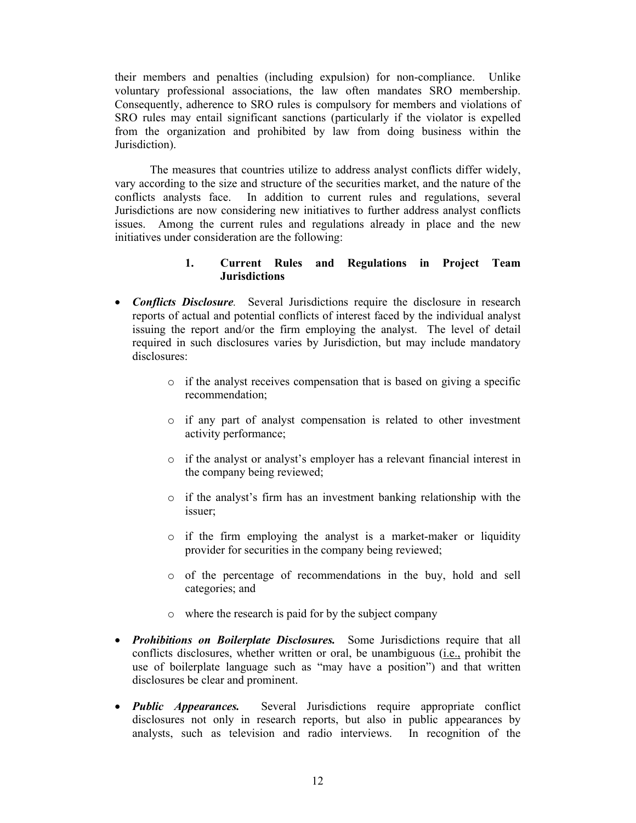their members and penalties (including expulsion) for non-compliance. Unlike voluntary professional associations, the law often mandates SRO membership. Consequently, adherence to SRO rules is compulsory for members and violations of SRO rules may entail significant sanctions (particularly if the violator is expelled from the organization and prohibited by law from doing business within the Jurisdiction).

The measures that countries utilize to address analyst conflicts differ widely, vary according to the size and structure of the securities market, and the nature of the conflicts analysts face. In addition to current rules and regulations, several Jurisdictions are now considering new initiatives to further address analyst conflicts issues. Among the current rules and regulations already in place and the new initiatives under consideration are the following:

### **1. Current Rules and Regulations in Project Team Jurisdictions**

- *Conflicts Disclosure.* Several Jurisdictions require the disclosure in research reports of actual and potential conflicts of interest faced by the individual analyst issuing the report and/or the firm employing the analyst. The level of detail required in such disclosures varies by Jurisdiction, but may include mandatory disclosures:
	- o if the analyst receives compensation that is based on giving a specific recommendation;
	- o if any part of analyst compensation is related to other investment activity performance;
	- o if the analyst or analyst's employer has a relevant financial interest in the company being reviewed;
	- o if the analyst's firm has an investment banking relationship with the issuer;
	- o if the firm employing the analyst is a market-maker or liquidity provider for securities in the company being reviewed;
	- o of the percentage of recommendations in the buy, hold and sell categories; and
	- o where the research is paid for by the subject company
- *Prohibitions on Boilerplate Disclosures.* Some Jurisdictions require that all conflicts disclosures, whether written or oral, be unambiguous (i.e., prohibit the use of boilerplate language such as "may have a position") and that written disclosures be clear and prominent.
- *Public Appearances.* Several Jurisdictions require appropriate conflict disclosures not only in research reports, but also in public appearances by analysts, such as television and radio interviews. In recognition of the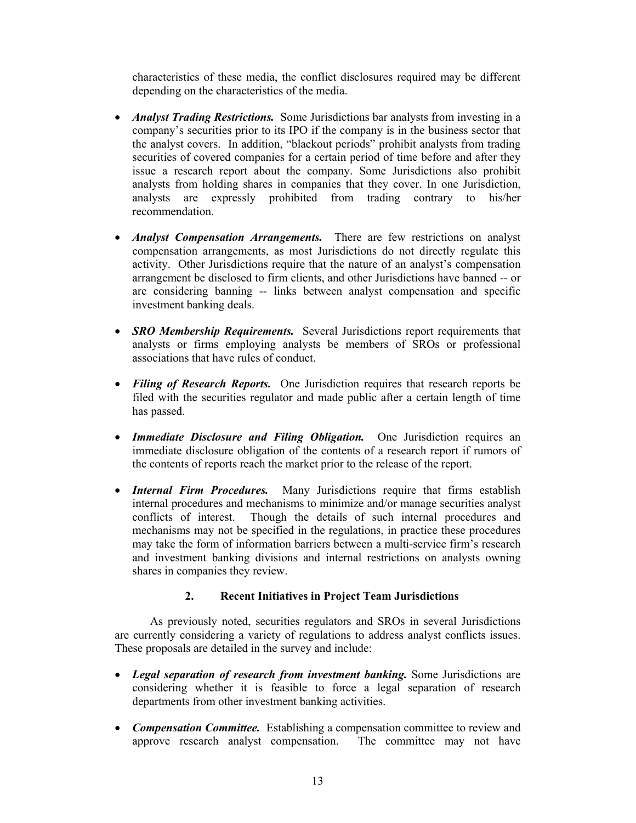characteristics of these media, the conflict disclosures required may be different depending on the characteristics of the media.

- *Analyst Trading Restrictions.* Some Jurisdictions bar analysts from investing in a company's securities prior to its IPO if the company is in the business sector that the analyst covers. In addition, "blackout periods" prohibit analysts from trading securities of covered companies for a certain period of time before and after they issue a research report about the company. Some Jurisdictions also prohibit analysts from holding shares in companies that they cover. In one Jurisdiction, analysts are expressly prohibited from trading contrary to his/her recommendation.
- *Analyst Compensation Arrangements.* There are few restrictions on analyst compensation arrangements, as most Jurisdictions do not directly regulate this activity. Other Jurisdictions require that the nature of an analyst's compensation arrangement be disclosed to firm clients, and other Jurisdictions have banned -- or are considering banning -- links between analyst compensation and specific investment banking deals.
- *SRO Membership Requirements.* Several Jurisdictions report requirements that analysts or firms employing analysts be members of SROs or professional associations that have rules of conduct.
- *Filing of Research Reports.* One Jurisdiction requires that research reports be filed with the securities regulator and made public after a certain length of time has passed.
- *Immediate Disclosure and Filing Obligation.* One Jurisdiction requires an immediate disclosure obligation of the contents of a research report if rumors of the contents of reports reach the market prior to the release of the report.
- *Internal Firm Procedures.* Many Jurisdictions require that firms establish internal procedures and mechanisms to minimize and/or manage securities analyst conflicts of interest. Though the details of such internal procedures and mechanisms may not be specified in the regulations, in practice these procedures may take the form of information barriers between a multi-service firm's research and investment banking divisions and internal restrictions on analysts owning shares in companies they review.

## **2. Recent Initiatives in Project Team Jurisdictions**

As previously noted, securities regulators and SROs in several Jurisdictions are currently considering a variety of regulations to address analyst conflicts issues. These proposals are detailed in the survey and include:

- *Legal separation of research from investment banking.* Some Jurisdictions are considering whether it is feasible to force a legal separation of research departments from other investment banking activities.
- *Compensation Committee.* Establishing a compensation committee to review and approve research analyst compensation. The committee may not have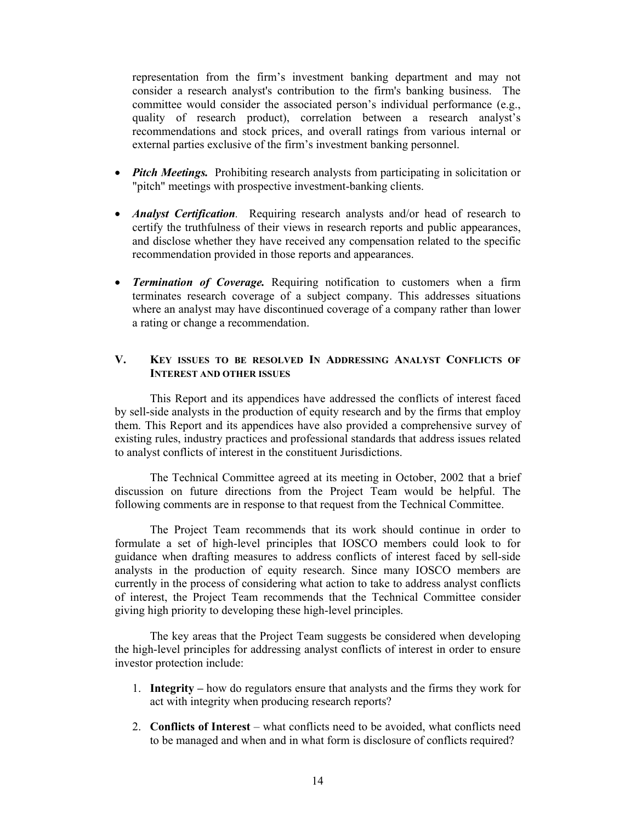representation from the firm's investment banking department and may not consider a research analyst's contribution to the firm's banking business. The committee would consider the associated person's individual performance (e.g., quality of research product), correlation between a research analyst's recommendations and stock prices, and overall ratings from various internal or external parties exclusive of the firm's investment banking personnel.

- *Pitch Meetings.* Prohibiting research analysts from participating in solicitation or "pitch" meetings with prospective investment-banking clients.
- *Analyst Certification*. Requiring research analysts and/or head of research to certify the truthfulness of their views in research reports and public appearances, and disclose whether they have received any compensation related to the specific recommendation provided in those reports and appearances.
- *Termination of Coverage.* Requiring notification to customers when a firm terminates research coverage of a subject company. This addresses situations where an analyst may have discontinued coverage of a company rather than lower a rating or change a recommendation.

#### **V. KEY ISSUES TO BE RESOLVED IN ADDRESSING ANALYST CONFLICTS OF INTEREST AND OTHER ISSUES**

This Report and its appendices have addressed the conflicts of interest faced by sell-side analysts in the production of equity research and by the firms that employ them. This Report and its appendices have also provided a comprehensive survey of existing rules, industry practices and professional standards that address issues related to analyst conflicts of interest in the constituent Jurisdictions.

The Technical Committee agreed at its meeting in October, 2002 that a brief discussion on future directions from the Project Team would be helpful. The following comments are in response to that request from the Technical Committee.

The Project Team recommends that its work should continue in order to formulate a set of high-level principles that IOSCO members could look to for guidance when drafting measures to address conflicts of interest faced by sell-side analysts in the production of equity research. Since many IOSCO members are currently in the process of considering what action to take to address analyst conflicts of interest, the Project Team recommends that the Technical Committee consider giving high priority to developing these high-level principles.

The key areas that the Project Team suggests be considered when developing the high-level principles for addressing analyst conflicts of interest in order to ensure investor protection include:

- 1. **Integrity** how do regulators ensure that analysts and the firms they work for act with integrity when producing research reports?
- 2. **Conflicts of Interest** what conflicts need to be avoided, what conflicts need to be managed and when and in what form is disclosure of conflicts required?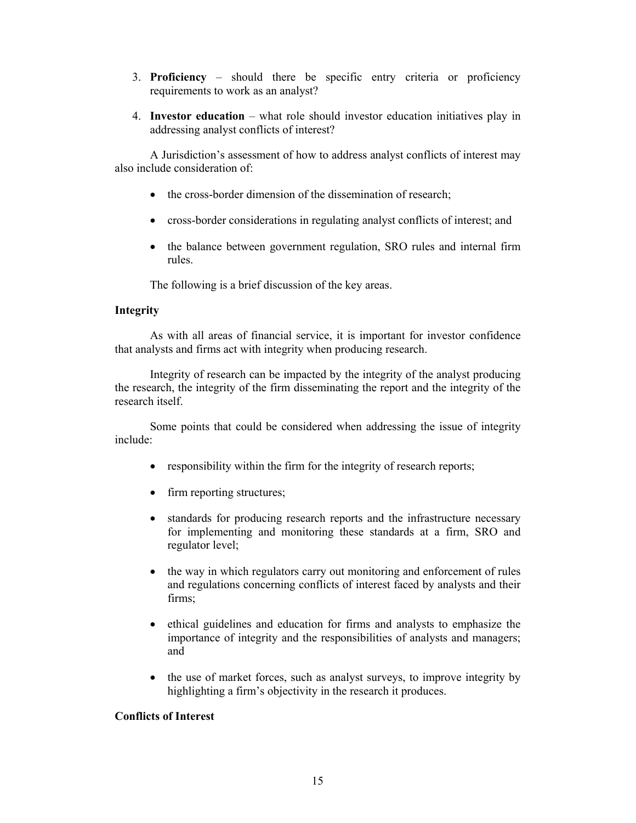- 3. **Proficiency** should there be specific entry criteria or proficiency requirements to work as an analyst?
- 4. **Investor education** what role should investor education initiatives play in addressing analyst conflicts of interest?

A Jurisdiction's assessment of how to address analyst conflicts of interest may also include consideration of:

- the cross-border dimension of the dissemination of research;
- cross-border considerations in regulating analyst conflicts of interest; and
- the balance between government regulation, SRO rules and internal firm rules.

The following is a brief discussion of the key areas.

#### **Integrity**

As with all areas of financial service, it is important for investor confidence that analysts and firms act with integrity when producing research.

Integrity of research can be impacted by the integrity of the analyst producing the research, the integrity of the firm disseminating the report and the integrity of the research itself.

Some points that could be considered when addressing the issue of integrity include:

- responsibility within the firm for the integrity of research reports;
- firm reporting structures;
- standards for producing research reports and the infrastructure necessary for implementing and monitoring these standards at a firm, SRO and regulator level;
- the way in which regulators carry out monitoring and enforcement of rules and regulations concerning conflicts of interest faced by analysts and their firms;
- ethical guidelines and education for firms and analysts to emphasize the importance of integrity and the responsibilities of analysts and managers; and
- the use of market forces, such as analyst surveys, to improve integrity by highlighting a firm's objectivity in the research it produces.

#### **Conflicts of Interest**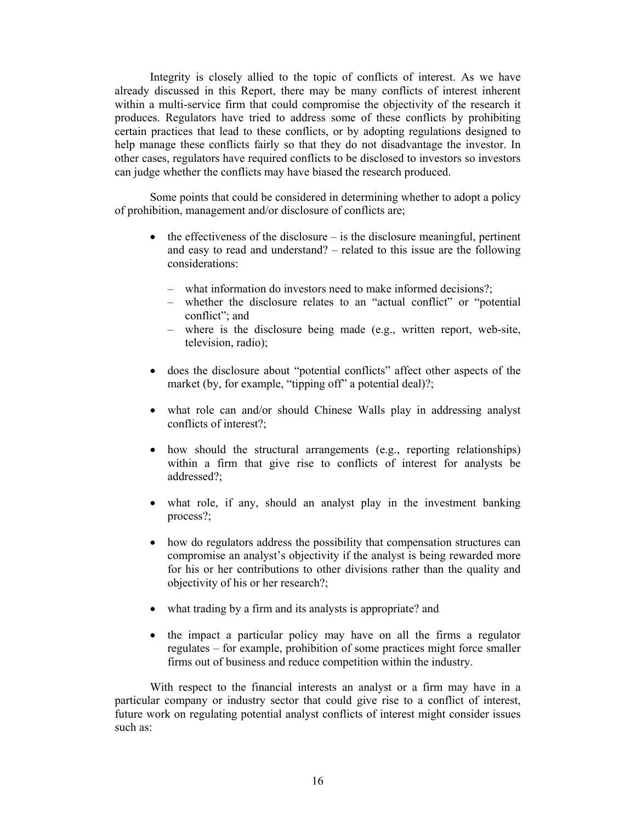Integrity is closely allied to the topic of conflicts of interest. As we have already discussed in this Report, there may be many conflicts of interest inherent within a multi-service firm that could compromise the objectivity of the research it produces. Regulators have tried to address some of these conflicts by prohibiting certain practices that lead to these conflicts, or by adopting regulations designed to help manage these conflicts fairly so that they do not disadvantage the investor. In other cases, regulators have required conflicts to be disclosed to investors so investors can judge whether the conflicts may have biased the research produced.

Some points that could be considered in determining whether to adopt a policy of prohibition, management and/or disclosure of conflicts are;

- $\bullet$  the effectiveness of the disclosure is the disclosure meaningful, pertinent and easy to read and understand? – related to this issue are the following considerations:
	- what information do investors need to make informed decisions?;
	- whether the disclosure relates to an "actual conflict" or "potential conflict"; and
	- where is the disclosure being made (e.g., written report, web-site, television, radio);
- does the disclosure about "potential conflicts" affect other aspects of the market (by, for example, "tipping off" a potential deal)?;
- what role can and/or should Chinese Walls play in addressing analyst conflicts of interest?;
- how should the structural arrangements (e.g., reporting relationships) within a firm that give rise to conflicts of interest for analysts be addressed?;
- what role, if any, should an analyst play in the investment banking process?;
- how do regulators address the possibility that compensation structures can compromise an analyst's objectivity if the analyst is being rewarded more for his or her contributions to other divisions rather than the quality and objectivity of his or her research?;
- what trading by a firm and its analysts is appropriate? and
- the impact a particular policy may have on all the firms a regulator regulates – for example, prohibition of some practices might force smaller firms out of business and reduce competition within the industry.

With respect to the financial interests an analyst or a firm may have in a particular company or industry sector that could give rise to a conflict of interest, future work on regulating potential analyst conflicts of interest might consider issues such as: